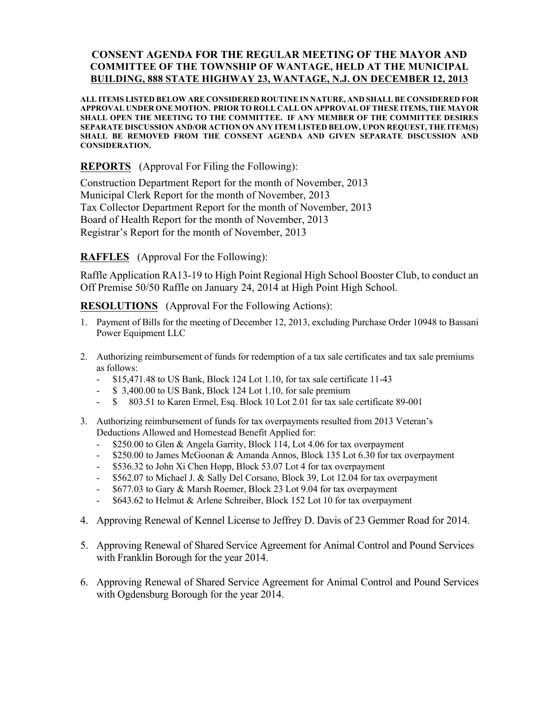## **CONSENT AGENDA FOR THE REGULAR MEETING OF THE MAYOR AND COMMITTEE OF THE TOWNSHIP OF WANTAGE, HELD AT THE MUNICIPAL BUILDING, 888 STATE HIGHWAY 23, WANTAGE, N.J. ON DECEMBER 12, 2013**

**ALL ITEMS LISTED BELOW ARE CONSIDERED ROUTINE IN NATURE, AND SHALL BE CONSIDERED FOR APPROVAL UNDER ONE MOTION. PRIOR TO ROLL CALL ON APPROVAL OF THESE ITEMS, THE MAYOR SHALL OPEN THE MEETING TO THE COMMITTEE. IF ANY MEMBER OF THE COMMITTEE DESIRES SEPARATE DISCUSSION AND/OR ACTION ON ANY ITEM LISTED BELOW, UPON REQUEST, THE ITEM(S) SHALL BE REMOVED FROM THE CONSENT AGENDA AND GIVEN SEPARATE DISCUSSION AND CONSIDERATION.**

**REPORTS** (Approval For Filing the Following):

Construction Department Report for the month of November, 2013 Municipal Clerk Report for the month of November, 2013 Tax Collector Department Report for the month of November, 2013 Board of Health Report for the month of November, 2013 Registrar's Report for the month of November, 2013

**RAFFLES** (Approval For the Following):

Raffle Application RA13-19 to High Point Regional High School Booster Club, to conduct an Off Premise 50/50 Raffle on January 24, 2014 at High Point High School.

**RESOLUTIONS** (Approval For the Following Actions):

- 1. Payment of Bills for the meeting of December 12, 2013, excluding Purchase Order 10948 to Bassani Power Equipment LLC
- 2. Authorizing reimbursement of funds for redemption of a tax sale certificates and tax sale premiums as follows:
	- \$15,471.48 to US Bank, Block 124 Lot 1.10, for tax sale certificate 11-43
	- \$ 3,400.00 to US Bank, Block 124 Lot 1.10, for sale premium
	- \$ 803.51 to Karen Ermel, Esq. Block 10 Lot 2.01 for tax sale certificate 89-001
- 3. Authorizing reimbursement of funds for tax overpayments resulted from 2013 Veteran's Deductions Allowed and Homestead Benefit Applied for:
	- \$250.00 to Glen & Angela Garrity, Block 114, Lot 4.06 for tax overpayment
	- \$250.00 to James McGoonan & Amanda Annos, Block 135 Lot 6.30 for tax overpayment
	- \$536.32 to John Xi Chen Hopp, Block 53.07 Lot 4 for tax overpayment
	- \$562.07 to Michael J. & Sally Del Corsano, Block 39, Lot 12.04 for tax overpayment
	- \$677.03 to Gary & Marsh Roemer, Block 23 Lot 9.04 for tax overpayment
	- \$643.62 to Helmut & Arlene Schreiber, Block 152 Lot 10 for tax overpayment
- 4. Approving Renewal of Kennel License to Jeffrey D. Davis of 23 Gemmer Road for 2014.
- 5. Approving Renewal of Shared Service Agreement for Animal Control and Pound Services with Franklin Borough for the year 2014.
- 6. Approving Renewal of Shared Service Agreement for Animal Control and Pound Services with Ogdensburg Borough for the year 2014.